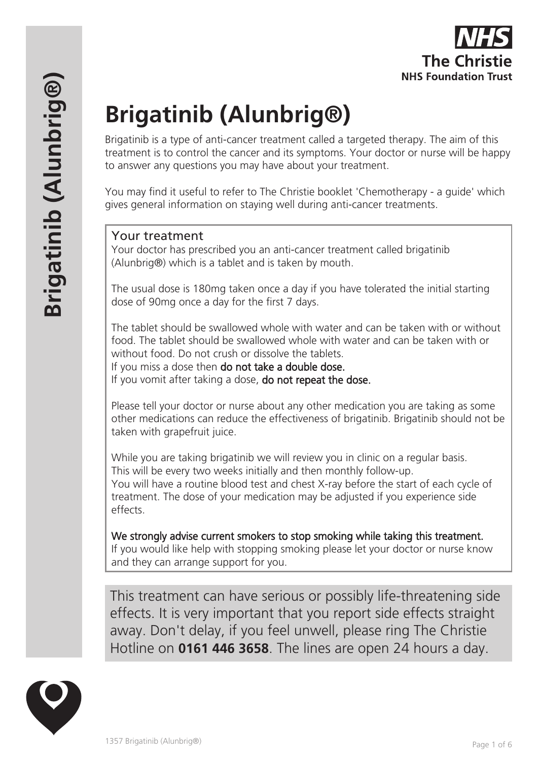# **Brigatinib (Alunbrig®)**

Brigatinib is a type of anti-cancer treatment called a targeted therapy. The aim of this treatment is to control the cancer and its symptoms. Your doctor or nurse will be happy to answer any questions you may have about your treatment.

You may find it useful to refer to The Christie booklet 'Chemotherapy - a guide' which gives general information on staying well during anti-cancer treatments.

## Your treatment

Your doctor has prescribed you an anti-cancer treatment called brigatinib (Alunbrig®) which is a tablet and is taken by mouth.

The usual dose is 180mg taken once a day if you have tolerated the initial starting dose of 90mg once a day for the first 7 days.

The tablet should be swallowed whole with water and can be taken with or without food. The tablet should be swallowed whole with water and can be taken with or without food. Do not crush or dissolve the tablets.

If you miss a dose then do not take a double dose.

If you vomit after taking a dose, **do not repeat the dose.** 

Please tell your doctor or nurse about any other medication you are taking as some other medications can reduce the effectiveness of brigatinib. Brigatinib should not be taken with grapefruit juice.

While you are taking brigatinib we will review you in clinic on a regular basis. This will be every two weeks initially and then monthly follow-up. You will have a routine blood test and chest X-ray before the start of each cycle of treatment. The dose of your medication may be adjusted if you experience side effects.

We strongly advise current smokers to stop smoking while taking this treatment. If you would like help with stopping smoking please let your doctor or nurse know and they can arrange support for you.

This treatment can have serious or possibly life-threatening side effects. It is very important that you report side effects straight away. Don't delay, if you feel unwell, please ring The Christie Hotline on **0161 446 3658**. The lines are open 24 hours a day.

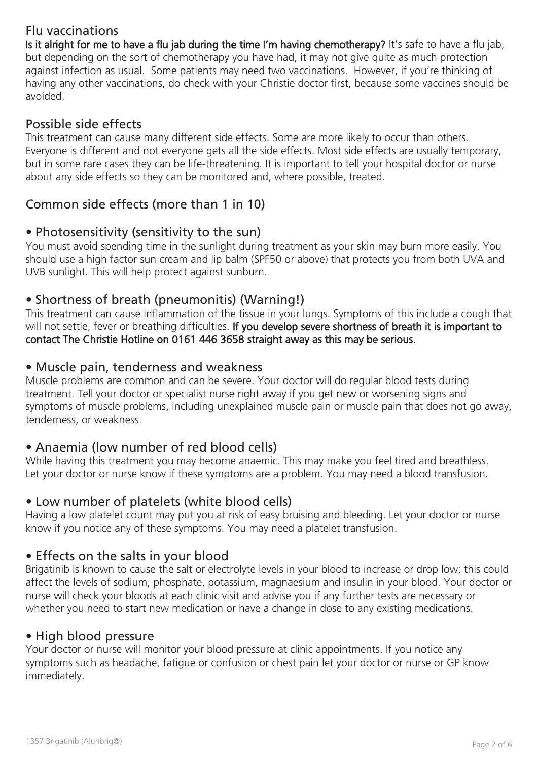# Flu vaccinations

Is it alright for me to have a flu jab during the time I'm having chemotherapy? It's safe to have a flu jab, but depending on the sort of chemotherapy you have had, it may not give quite as much protection against infection as usual. Some patients may need two vaccinations. However, if you're thinking of having any other vaccinations, do check with your Christie doctor first, because some vaccines should be avoided.

## Possible side effects

This treatment can cause many different side effects. Some are more likely to occur than others. Everyone is different and not everyone gets all the side effects. Most side effects are usually temporary, but in some rare cases they can be life-threatening. It is important to tell your hospital doctor or nurse about any side effects so they can be monitored and, where possible, treated.

# Common side effects (more than 1 in 10)

## • Photosensitivity (sensitivity to the sun)

You must avoid spending time in the sunlight during treatment as your skin may burn more easily. You should use a high factor sun cream and lip balm (SPF50 or above) that protects you from both UVA and UVB sunlight. This will help protect against sunburn.

## • Shortness of breath (pneumonitis) (Warning!)

This treatment can cause inflammation of the tissue in your lungs. Symptoms of this include a cough that will not settle, fever or breathing difficulties. If you develop severe shortness of breath it is important to contact The Christie Hotline on 0161 446 3658 straight away as this may be serious.

#### • Muscle pain, tenderness and weakness

Muscle problems are common and can be severe. Your doctor will do regular blood tests during treatment. Tell your doctor or specialist nurse right away if you get new or worsening signs and symptoms of muscle problems, including unexplained muscle pain or muscle pain that does not go away, tenderness, or weakness.

#### • Anaemia (low number of red blood cells)

While having this treatment you may become anaemic. This may make you feel tired and breathless. Let your doctor or nurse know if these symptoms are a problem. You may need a blood transfusion.

#### • Low number of platelets (white blood cells)

Having a low platelet count may put you at risk of easy bruising and bleeding. Let your doctor or nurse know if you notice any of these symptoms. You may need a platelet transfusion.

#### • Effects on the salts in your blood

Brigatinib is known to cause the salt or electrolyte levels in your blood to increase or drop low; this could affect the levels of sodium, phosphate, potassium, magnaesium and insulin in your blood. Your doctor or nurse will check your bloods at each clinic visit and advise you if any further tests are necessary or whether you need to start new medication or have a change in dose to any existing medications.

#### • High blood pressure

Your doctor or nurse will monitor your blood pressure at clinic appointments. If you notice any symptoms such as headache, fatigue or confusion or chest pain let your doctor or nurse or GP know immediately.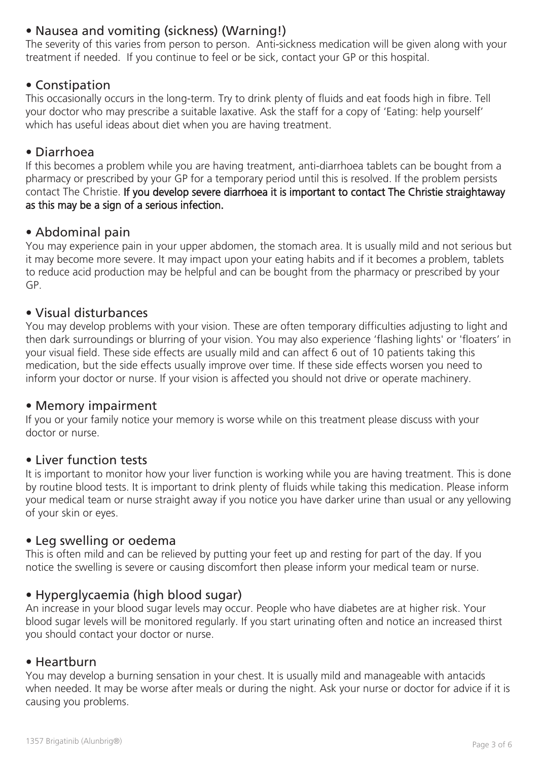# • Nausea and vomiting (sickness) (Warning!)

The severity of this varies from person to person. Anti-sickness medication will be given along with your treatment if needed. If you continue to feel or be sick, contact your GP or this hospital.

## • Constipation

This occasionally occurs in the long-term. Try to drink plenty of fluids and eat foods high in fibre. Tell your doctor who may prescribe a suitable laxative. Ask the staff for a copy of 'Eating: help yourself' which has useful ideas about diet when you are having treatment.

#### • Diarrhoea

If this becomes a problem while you are having treatment, anti-diarrhoea tablets can be bought from a pharmacy or prescribed by your GP for a temporary period until this is resolved. If the problem persists contact The Christie. If you develop severe diarrhoea it is important to contact The Christie straightaway as this may be a sign of a serious infection.

#### • Abdominal pain

You may experience pain in your upper abdomen, the stomach area. It is usually mild and not serious but it may become more severe. It may impact upon your eating habits and if it becomes a problem, tablets to reduce acid production may be helpful and can be bought from the pharmacy or prescribed by your GP.

#### • Visual disturbances

You may develop problems with your vision. These are often temporary difficulties adjusting to light and then dark surroundings or blurring of your vision. You may also experience 'flashing lights' or 'floaters' in your visual field. These side effects are usually mild and can affect 6 out of 10 patients taking this medication, but the side effects usually improve over time. If these side effects worsen you need to inform your doctor or nurse. If your vision is affected you should not drive or operate machinery.

#### • Memory impairment

If you or your family notice your memory is worse while on this treatment please discuss with your doctor or nurse.

#### • Liver function tests

It is important to monitor how your liver function is working while you are having treatment. This is done by routine blood tests. It is important to drink plenty of fluids while taking this medication. Please inform your medical team or nurse straight away if you notice you have darker urine than usual or any yellowing of your skin or eyes.

#### • Leg swelling or oedema

This is often mild and can be relieved by putting your feet up and resting for part of the day. If you notice the swelling is severe or causing discomfort then please inform your medical team or nurse.

#### • Hyperglycaemia (high blood sugar)

An increase in your blood sugar levels may occur. People who have diabetes are at higher risk. Your blood sugar levels will be monitored regularly. If you start urinating often and notice an increased thirst you should contact your doctor or nurse.

#### • Heartburn

You may develop a burning sensation in your chest. It is usually mild and manageable with antacids when needed. It may be worse after meals or during the night. Ask your nurse or doctor for advice if it is causing you problems.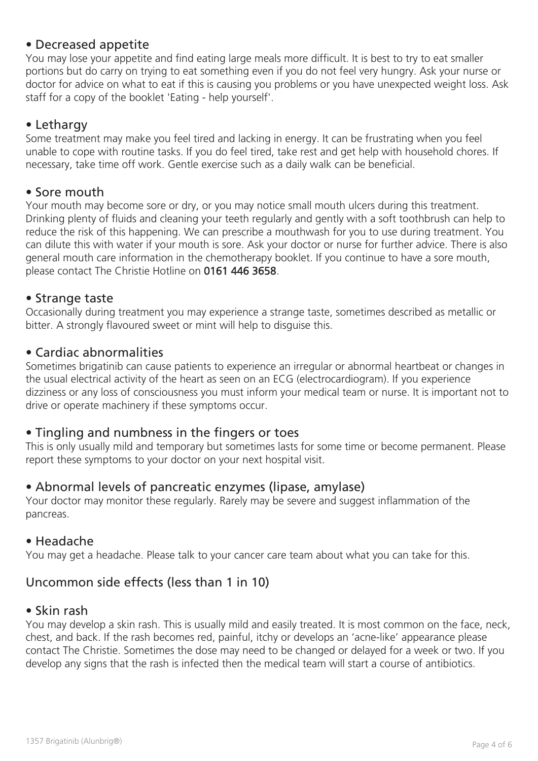## • Decreased appetite

You may lose your appetite and find eating large meals more difficult. It is best to try to eat smaller portions but do carry on trying to eat something even if you do not feel very hungry. Ask your nurse or doctor for advice on what to eat if this is causing you problems or you have unexpected weight loss. Ask staff for a copy of the booklet 'Eating - help yourself'.

## • Lethargy

Some treatment may make you feel tired and lacking in energy. It can be frustrating when you feel unable to cope with routine tasks. If you do feel tired, take rest and get help with household chores. If necessary, take time off work. Gentle exercise such as a daily walk can be beneficial.

#### • Sore mouth

Your mouth may become sore or dry, or you may notice small mouth ulcers during this treatment. Drinking plenty of fluids and cleaning your teeth regularly and gently with a soft toothbrush can help to reduce the risk of this happening. We can prescribe a mouthwash for you to use during treatment. You can dilute this with water if your mouth is sore. Ask your doctor or nurse for further advice. There is also general mouth care information in the chemotherapy booklet. If you continue to have a sore mouth, please contact The Christie Hotline on 0161 446 3658.

#### • Strange taste

Occasionally during treatment you may experience a strange taste, sometimes described as metallic or bitter. A strongly flavoured sweet or mint will help to disguise this.

#### • Cardiac abnormalities

Sometimes brigatinib can cause patients to experience an irregular or abnormal heartbeat or changes in the usual electrical activity of the heart as seen on an ECG (electrocardiogram). If you experience dizziness or any loss of consciousness you must inform your medical team or nurse. It is important not to drive or operate machinery if these symptoms occur.

#### • Tingling and numbness in the fingers or toes

This is only usually mild and temporary but sometimes lasts for some time or become permanent. Please report these symptoms to your doctor on your next hospital visit.

#### • Abnormal levels of pancreatic enzymes (lipase, amylase)

Your doctor may monitor these regularly. Rarely may be severe and suggest inflammation of the pancreas.

#### • Headache

You may get a headache. Please talk to your cancer care team about what you can take for this.

## Uncommon side effects (less than 1 in 10)

#### • Skin rash

You may develop a skin rash. This is usually mild and easily treated. It is most common on the face, neck, chest, and back. If the rash becomes red, painful, itchy or develops an 'acne-like' appearance please contact The Christie. Sometimes the dose may need to be changed or delayed for a week or two. If you develop any signs that the rash is infected then the medical team will start a course of antibiotics.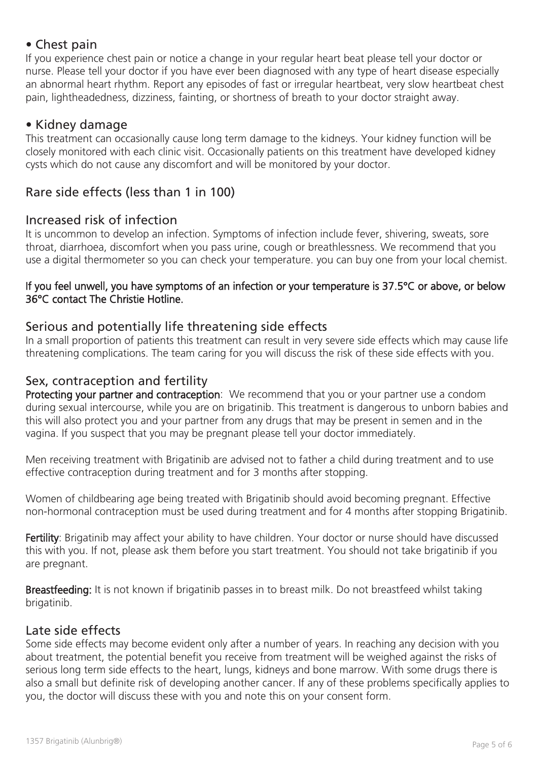## • Chest pain

If you experience chest pain or notice a change in your regular heart beat please tell your doctor or nurse. Please tell your doctor if you have ever been diagnosed with any type of heart disease especially an abnormal heart rhythm. Report any episodes of fast or irregular heartbeat, very slow heartbeat chest pain, lightheadedness, dizziness, fainting, or shortness of breath to your doctor straight away.

#### • Kidney damage

This treatment can occasionally cause long term damage to the kidneys. Your kidney function will be closely monitored with each clinic visit. Occasionally patients on this treatment have developed kidney cysts which do not cause any discomfort and will be monitored by your doctor.

## Rare side effects (less than 1 in 100)

#### Increased risk of infection

It is uncommon to develop an infection. Symptoms of infection include fever, shivering, sweats, sore throat, diarrhoea, discomfort when you pass urine, cough or breathlessness. We recommend that you use a digital thermometer so you can check your temperature. you can buy one from your local chemist.

#### If you feel unwell, you have symptoms of an infection or your temperature is 37.5°C or above, or below 36°C contact The Christie Hotline.

#### Serious and potentially life threatening side effects

In a small proportion of patients this treatment can result in very severe side effects which may cause life threatening complications. The team caring for you will discuss the risk of these side effects with you.

#### Sex, contraception and fertility

Protecting your partner and contraception: We recommend that you or your partner use a condom during sexual intercourse, while you are on brigatinib. This treatment is dangerous to unborn babies and this will also protect you and your partner from any drugs that may be present in semen and in the vagina. If you suspect that you may be pregnant please tell your doctor immediately.

Men receiving treatment with Brigatinib are advised not to father a child during treatment and to use effective contraception during treatment and for 3 months after stopping.

Women of childbearing age being treated with Brigatinib should avoid becoming pregnant. Effective non-hormonal contraception must be used during treatment and for 4 months after stopping Brigatinib.

Fertility: Brigatinib may affect your ability to have children. Your doctor or nurse should have discussed this with you. If not, please ask them before you start treatment. You should not take brigatinib if you are pregnant.

Breastfeeding: It is not known if brigatinib passes in to breast milk. Do not breastfeed whilst taking brigatinib.

#### Late side effects

Some side effects may become evident only after a number of years. In reaching any decision with you about treatment, the potential benefit you receive from treatment will be weighed against the risks of serious long term side effects to the heart, lungs, kidneys and bone marrow. With some drugs there is also a small but definite risk of developing another cancer. If any of these problems specifically applies to you, the doctor will discuss these with you and note this on your consent form.